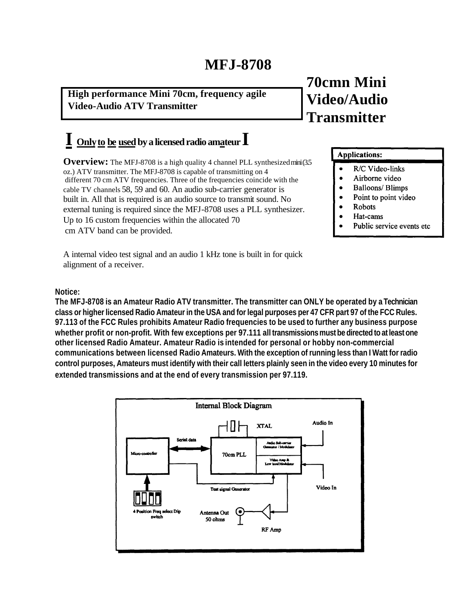# **MFJ-8708**

**High performance Mini 70cm, frequency agile Video-Audio ATV Transmitter**

# **I Onlyto be usedby a licensed radio amateur I**

**Overview:** The MFJ-8708 is a high quality 4 channel PLL synthesized mini (35) oz.) ATV transmitter. The MFJ-8708 is capable of transmitting on 4 different 70 cm ATV frequencies. Three of the frequencies coincide with the cable TV channels 58, 59 and 60. An audio sub-carrier generator is built in. All that is required is an audio source to transmit sound. No external tuning is required since the MFJ-8708 uses a PLL synthesizer. Up to 16 custom frequencies within the allocated 70 cm ATV band can be provided.

A internal video test signal and an audio 1 kHz tone is built in for quick alignment of a receiver.

# **70cmn Mini Video/Audio Transmitter**

### **Applications:**

- R/C Video-links  $\bullet$
- Airborne video
- **Balloons/ Blimps**
- $\bullet$ Point to point video
- **Robots**
- Hat-cams
- Public service events etc

### **Notice:**

**The MFJ-8708 is an Amateur Radio ATV transmitter. The transmitter can ONLY be operated by a Technician class or higher licensed Radio Amateur in the USA and for legal purposes per 47 CFR part 97 of the FCC Rules. 97.113 of the FCC Rules prohibits Amateur Radio frequencies to be used to further any business purpose whether profit or non-profit. With few exceptions per 97.111 all transmissions must be directed to at least one other licensed Radio Amateur. Amateur Radio is intended for personal or hobby non-commercial communications between licensed Radio Amateurs. With the exception of running less than I Watt for radio control purposes, Amateurs must identify with their call letters plainly seen in the video every 10 minutes for extended transmissions and at the end of every transmission per 97.119.**

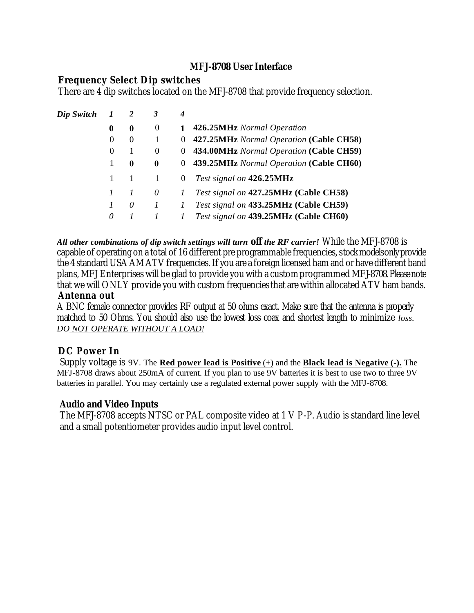# **MFJ-8708 User Interface**

# **Frequency Select Dip switches**

There are 4 dip switches located on the MFJ-8708 that provide frequency selection.

| Dip Switch |          | 2        | 3              | 4            |                                           |
|------------|----------|----------|----------------|--------------|-------------------------------------------|
|            | 0        | 0        | $\theta$       | $\mathbf{1}$ | 426.25MHz Normal Operation                |
|            | $\Omega$ | $\Omega$ | -1             |              | 0 427.25MHz Normal Operation (Cable CH58) |
|            | $\theta$ |          | $\overline{0}$ |              | 0 434.00MHz Normal Operation (Cable CH59) |
|            |          | 0        | 0              |              | 0 439.25MHz Normal Operation (Cable CH60) |
|            |          |          | -1             | $\theta$     | Test signal on 426.25MHz                  |
|            |          |          | 0              | $\prime$     | Test signal on 427.25MHz (Cable CH58)     |
|            |          | 0        | $\overline{I}$ | T            | Test signal on 433.25MHz (Cable CH59)     |
|            | 0        |          |                |              | Test signal on 439.25MHz (Cable CH60)     |

*All other combinations of dip switch settings will turn off the RF carrier!* While the MFJ-8708 is capable of operating on a total of 16 different pre programmable frequencies, stock models only provide the 4 standard USA AM ATV frequencies. If you are a foreign licensed ham and or have different band plans, MFJ Enterprises will be glad to provide you with a custom programmed MFJ-8708. Please note that we will ONLY provide you with custom frequencies that are within allocated ATV ham bands.

## **Antenna out**

A BNC female connector provides RF output at 50 ohms exact. Make sure that the antenna is properly matched to 50 Ohms. You should also use the lowest loss coax and shortest length to minimize *loss. DO NOT OPERATE WITHOUT A LOAD!*

# **DC Power In**

Supply voltage is 9V. The **Red power lead is Positive** (+) and the **Black lead is Negative (-).** The MFJ-8708 draws about 250mA of current. If you plan to use 9V batteries it is best to use two to three 9V batteries in parallel. You may certainly use a regulated external power supply with the MFJ-8708.

# **Audio and Video Inputs**

The MFJ-8708 accepts NTSC or PAL composite video at 1 V P-P. Audio is standard line level and a small potentiometer provides audio input level control.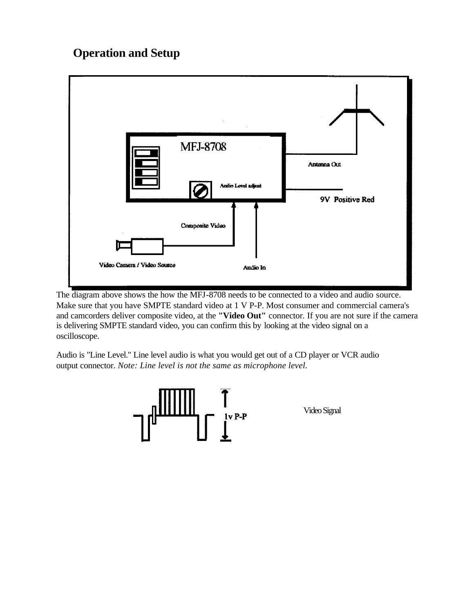# **Operation and Setup**



The diagram above shows the how the MFJ-8708 needs to be connected to a video and audio source. Make sure that you have SMPTE standard video at 1 V P-P. Most consumer and commercial camera's and camcorders deliver composite video, at the **"Video Out"** connector. If you are not sure if the camera is delivering SMPTE standard video, you can confirm this by looking at the video signal on a oscilloscope.

Audio is "Line Level." Line level audio is what you would get out of a CD player or VCR audio output connector. *Note: Line level is not the same as microphone level.*

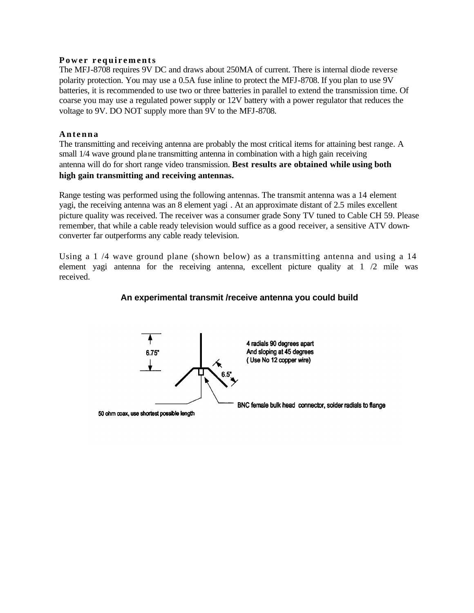#### **Power requirements**

The MFJ-8708 requires 9V DC and draws about 250MA of current. There is internal diode reverse polarity protection. You may use a 0.5A fuse inline to protect the MFJ-8708. If you plan to use 9V batteries, it is recommended to use two or three batteries in parallel to extend the transmission time. Of coarse you may use a regulated power supply or 12V battery with a power regulator that reduces the voltage to 9V. DO NOT supply more than 9V to the MFJ-8708.

### **Antenna**

The transmitting and receiving antenna are probably the most critical items for attaining best range. A small 1/4 wave ground plane transmitting antenna in combination with a high gain receiving antenna will do for short range video transmission. **Best results are obtained while using both high gain transmitting and receiving antennas.**

Range testing was performed using the following antennas. The transmit antenna was a 14 element yagi, the receiving antenna was an 8 element yagi . At an approximate distant of 2.5 miles excellent picture quality was received. The receiver was a consumer grade Sony TV tuned to Cable CH 59. Please remember, that while a cable ready television would suffice as a good receiver, a sensitive ATV downconverter far outperforms any cable ready television.

Using a 1 /4 wave ground plane (shown below) as a transmitting antenna and using a 14 element yagi antenna for the receiving antenna, excellent picture quality at 1 /2 mile was received.

# **An experimental transmit /receive antenna you could build**

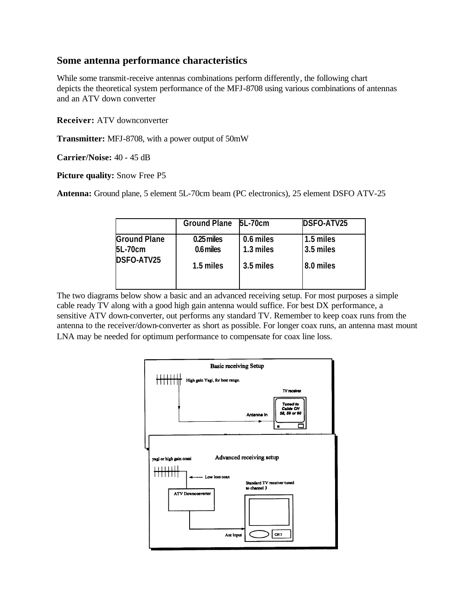## **Some antenna performance characteristics**

While some transmit-receive antennas combinations perform differently, the following chart depicts the theoretical system performance of the MFJ-8708 using various combinations of antennas and an ATV down converter

**Receiver:** ATV downconverter

**Transmitter:** MFJ-8708, with a power output of 50mW

**Carrier/Noise:** 40 - 45 dB

**Picture quality:** Snow Free P5

**Antenna:** Ground plane, 5 element 5L-70cm beam (PC electronics), 25 element DSFO ATV-25

|                     | Ground Plane 5L-70cm |           | DSFO-ATV25  |
|---------------------|----------------------|-----------|-------------|
| <b>Ground Plane</b> | 0.25 miles           | 0.6 miles | 1.5 miles   |
| 5L-70cm             | 0.6 miles            | 1.3 miles | $3.5$ miles |
| DSFO-ATV25          | 1.5 miles            | 3.5 miles | 8.0 miles   |
|                     |                      |           |             |

The two diagrams below show a basic and an advanced receiving setup. For most purposes a simple cable ready TV along with a good high gain antenna would suffice. For best DX performance, a sensitive ATV down-converter, out performs any standard TV. Remember to keep coax runs from the antenna to the receiver/down-converter as short as possible. For longer coax runs, an antenna mast mount LNA may be needed for optimum performance to compensate for coax line loss.